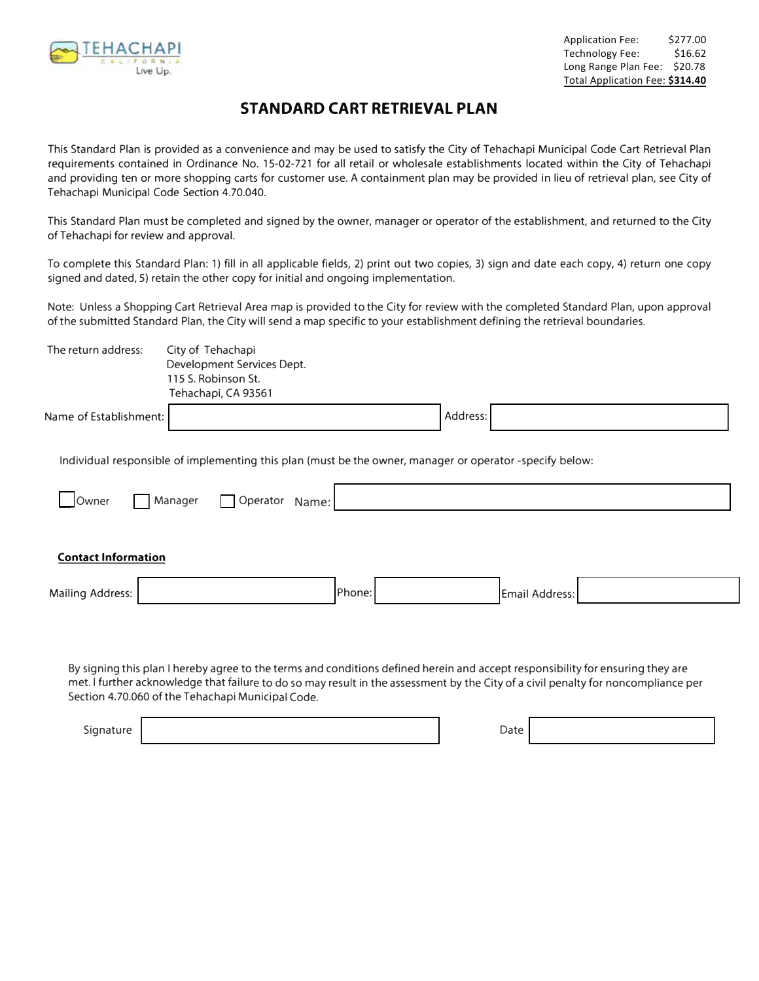

## **STANDARD CART RETRIEVAL PLAN**

This Standard Plan is provided as a convenience and may be used to satisfy the City of Tehachapi Municipal Code Cart Retrieval Plan requirements contained in Ordinance No. 15-02-721 for all retail or wholesale establishments located within the City of Tehachapi and providing ten or more shopping carts for customer use. A containment plan may be provided in lieu of retrieval plan, see City of Tehachapi Municipal Code Section 4.70.040.

This Standard Plan must be completed and signed by the owner, manager or operator of the establishment, and returned to the City ofTehachapi for review and approval.

To complete this Standard Plan: 1) fill in all applicable fields, 2) print out two copies, 3) sign and date each copy, 4) return one copy signed and dated, 5) retain the other copy for initial and ongoing implementation.

Note: Unless a Shopping Cart Retrieval Area map is provided to the City for review with the completed Standard Plan, upon approval of the submitted Standard Plan, the City will send a map specific to your establishment defining the retrieval boundaries.

| The return address:        | City of Tehachapi<br>Development Services Dept.<br>115 S. Robinson St.<br>Tehachapi, CA 93561                                                                                                                                                                                                                             |        |          |                |  |
|----------------------------|---------------------------------------------------------------------------------------------------------------------------------------------------------------------------------------------------------------------------------------------------------------------------------------------------------------------------|--------|----------|----------------|--|
| Name of Establishment:     |                                                                                                                                                                                                                                                                                                                           |        | Address: |                |  |
| Owner                      | Individual responsible of implementing this plan (must be the owner, manager or operator -specify below:<br>Manager<br>Operator<br>Name:                                                                                                                                                                                  |        |          |                |  |
| <b>Contact Information</b> |                                                                                                                                                                                                                                                                                                                           |        |          |                |  |
| <b>Mailing Address:</b>    |                                                                                                                                                                                                                                                                                                                           | Phone: |          | Email Address: |  |
|                            | By signing this plan I hereby agree to the terms and conditions defined herein and accept responsibility for ensuring they are<br>met. I further acknowledge that failure to do so may result in the assessment by the City of a civil penalty for noncompliance per<br>Section 4.70.060 of the Tehachapi Municipal Code. |        |          |                |  |

Signature **Date**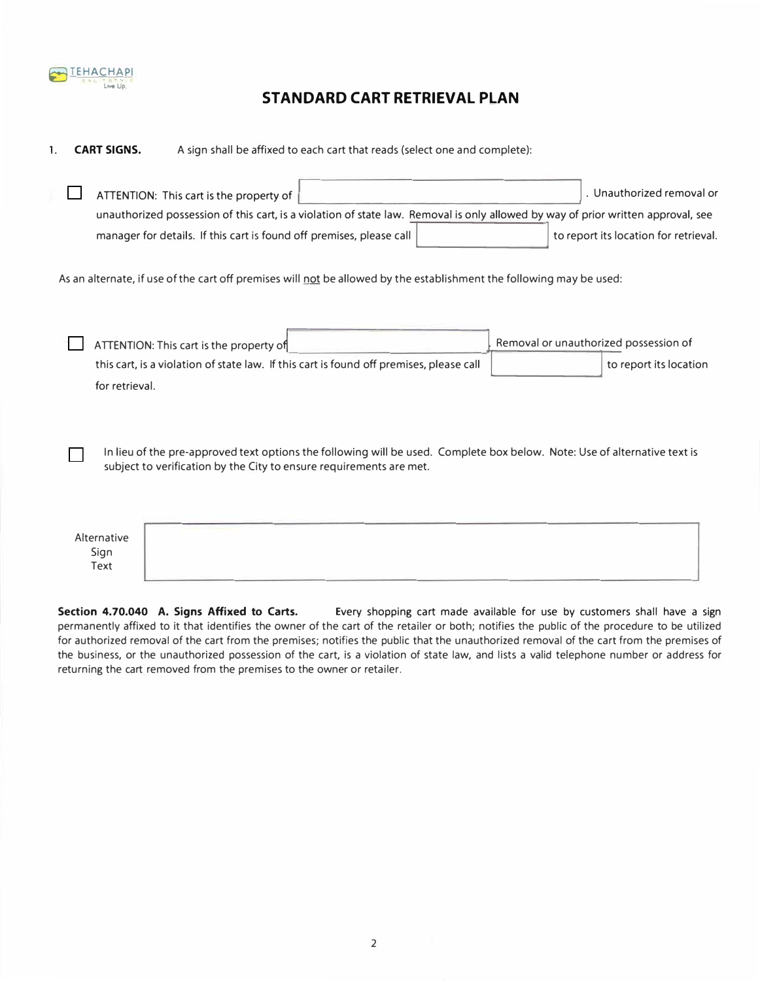

## **STANDARD CART RETRIEVAL PLAN**

**1. CART SIGNS.** A sign shall be affixed to each cart that reads (select one and complete):

| ATTENTION: This cart is the property of                                                                                                                                                          | . Unauthorized removal or                                       |  |  |  |  |
|--------------------------------------------------------------------------------------------------------------------------------------------------------------------------------------------------|-----------------------------------------------------------------|--|--|--|--|
| unauthorized possession of this cart, is a violation of state law. Removal is only allowed by way of prior written approval, see                                                                 |                                                                 |  |  |  |  |
| manager for details. If this cart is found off premises, please call                                                                                                                             | to report its location for retrieval.                           |  |  |  |  |
| As an alternate, if use of the cart off premises will not be allowed by the establishment the following may be used:                                                                             |                                                                 |  |  |  |  |
| ATTENTION: This cart is the property of<br>this cart, is a violation of state law. If this cart is found off premises, please call<br>for retrieval.                                             | Removal or unauthorized possession of<br>to report its location |  |  |  |  |
| In lieu of the pre-approved text options the following will be used. Complete box below. Note: Use of alternative text is<br>subject to verification by the City to ensure requirements are met. |                                                                 |  |  |  |  |
|                                                                                                                                                                                                  |                                                                 |  |  |  |  |

| Alternative<br>Sign<br>Text | the property of the property of the<br>and the property of the property<br>the property of the control of the control of the control of the control of the control of<br><u> 1950 - Andrea Marie de Alemania de la componentación de la componentación de la componentación de la componentación de la componentación de la componentación de la componentación de la componentación de la componentación</u><br>the control of the control of the con- |
|-----------------------------|---------------------------------------------------------------------------------------------------------------------------------------------------------------------------------------------------------------------------------------------------------------------------------------------------------------------------------------------------------------------------------------------------------------------------------------------------------|
|-----------------------------|---------------------------------------------------------------------------------------------------------------------------------------------------------------------------------------------------------------------------------------------------------------------------------------------------------------------------------------------------------------------------------------------------------------------------------------------------------|

**Section 4.70.040 A. Signs Affixed to Carts.** Every shopping cart made available for use by customers shall have a sign permanently affixed to it that identifies the owner of the cart of the retailer or both; notifies the public of the procedure to be utilized for authorized removal of the cart from the premises; notifies the public that the unauthorized removal of the cart from the premises of the business, or the unauthorized possession of the cart, is a violation of state law, and lists a valid telephone number or address for returning the cart removed from the premises to the owner or retailer.